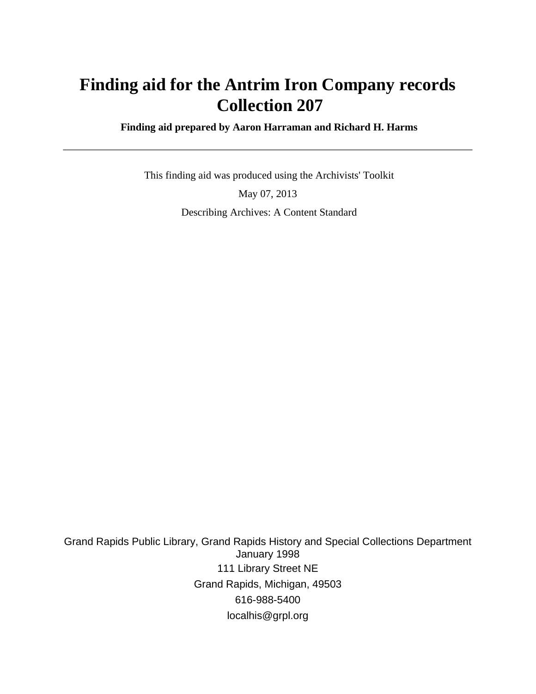# **Finding aid for the Antrim Iron Company records Collection 207**

 **Finding aid prepared by Aaron Harraman and Richard H. Harms**

 This finding aid was produced using the Archivists' Toolkit May 07, 2013 Describing Archives: A Content Standard

Grand Rapids Public Library, Grand Rapids History and Special Collections Department January 1998 111 Library Street NE Grand Rapids, Michigan, 49503 616-988-5400 localhis@grpl.org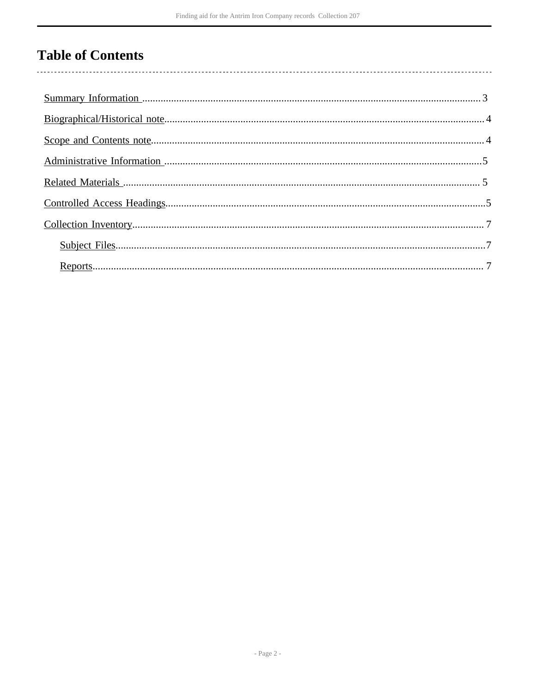# **Table of Contents**

 $\overline{\phantom{a}}$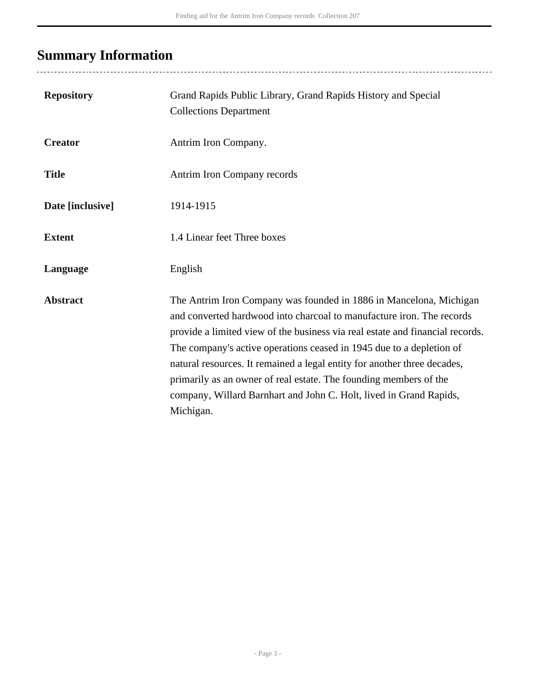# <span id="page-2-0"></span>**Summary Information**

| <b>Repository</b> | Grand Rapids Public Library, Grand Rapids History and Special<br><b>Collections Department</b>                                                                                                                                                                                                                                                                                                                                                                                                                                           |
|-------------------|------------------------------------------------------------------------------------------------------------------------------------------------------------------------------------------------------------------------------------------------------------------------------------------------------------------------------------------------------------------------------------------------------------------------------------------------------------------------------------------------------------------------------------------|
| <b>Creator</b>    | Antrim Iron Company.                                                                                                                                                                                                                                                                                                                                                                                                                                                                                                                     |
| <b>Title</b>      | Antrim Iron Company records                                                                                                                                                                                                                                                                                                                                                                                                                                                                                                              |
| Date [inclusive]  | 1914-1915                                                                                                                                                                                                                                                                                                                                                                                                                                                                                                                                |
| <b>Extent</b>     | 1.4 Linear feet Three boxes                                                                                                                                                                                                                                                                                                                                                                                                                                                                                                              |
| Language          | English                                                                                                                                                                                                                                                                                                                                                                                                                                                                                                                                  |
| <b>Abstract</b>   | The Antrim Iron Company was founded in 1886 in Mancelona, Michigan<br>and converted hardwood into charcoal to manufacture iron. The records<br>provide a limited view of the business via real estate and financial records.<br>The company's active operations ceased in 1945 due to a depletion of<br>natural resources. It remained a legal entity for another three decades,<br>primarily as an owner of real estate. The founding members of the<br>company, Willard Barnhart and John C. Holt, lived in Grand Rapids,<br>Michigan. |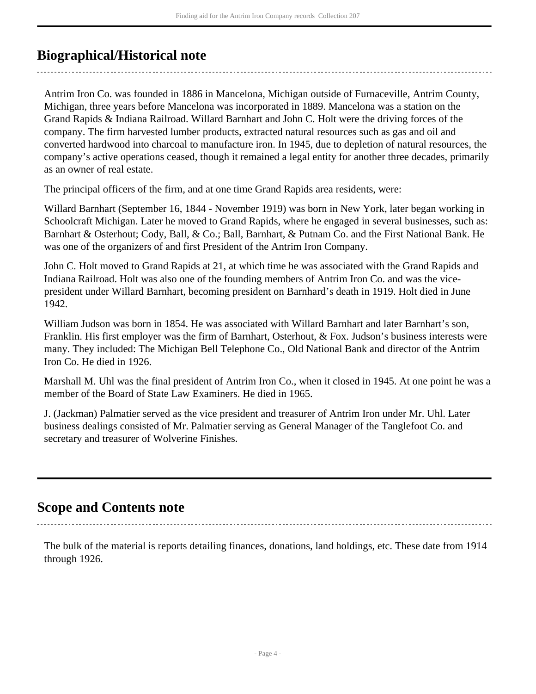## <span id="page-3-0"></span>**Biographical/Historical note**

Antrim Iron Co. was founded in 1886 in Mancelona, Michigan outside of Furnaceville, Antrim County, Michigan, three years before Mancelona was incorporated in 1889. Mancelona was a station on the Grand Rapids & Indiana Railroad. Willard Barnhart and John C. Holt were the driving forces of the company. The firm harvested lumber products, extracted natural resources such as gas and oil and converted hardwood into charcoal to manufacture iron. In 1945, due to depletion of natural resources, the company's active operations ceased, though it remained a legal entity for another three decades, primarily as an owner of real estate.

The principal officers of the firm, and at one time Grand Rapids area residents, were:

Willard Barnhart (September 16, 1844 - November 1919) was born in New York, later began working in Schoolcraft Michigan. Later he moved to Grand Rapids, where he engaged in several businesses, such as: Barnhart & Osterhout; Cody, Ball, & Co.; Ball, Barnhart, & Putnam Co. and the First National Bank. He was one of the organizers of and first President of the Antrim Iron Company.

John C. Holt moved to Grand Rapids at 21, at which time he was associated with the Grand Rapids and Indiana Railroad. Holt was also one of the founding members of Antrim Iron Co. and was the vicepresident under Willard Barnhart, becoming president on Barnhard's death in 1919. Holt died in June 1942.

William Judson was born in 1854. He was associated with Willard Barnhart and later Barnhart's son, Franklin. His first employer was the firm of Barnhart, Osterhout, & Fox. Judson's business interests were many. They included: The Michigan Bell Telephone Co., Old National Bank and director of the Antrim Iron Co. He died in 1926.

Marshall M. Uhl was the final president of Antrim Iron Co., when it closed in 1945. At one point he was a member of the Board of State Law Examiners. He died in 1965.

J. (Jackman) Palmatier served as the vice president and treasurer of Antrim Iron under Mr. Uhl. Later business dealings consisted of Mr. Palmatier serving as General Manager of the Tanglefoot Co. and secretary and treasurer of Wolverine Finishes.

### <span id="page-3-1"></span>**Scope and Contents note**

The bulk of the material is reports detailing finances, donations, land holdings, etc. These date from 1914 through 1926.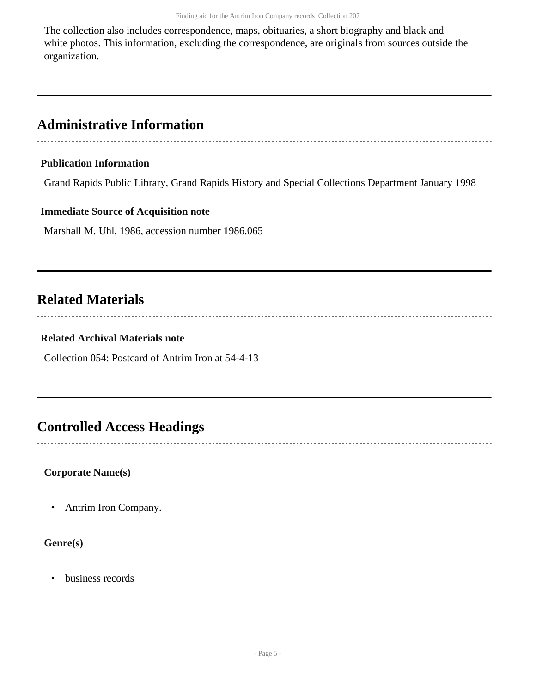The collection also includes correspondence, maps, obituaries, a short biography and black and white photos. This information, excluding the correspondence, are originals from sources outside the organization.

### <span id="page-4-0"></span>**Administrative Information**

#### **Publication Information**

Grand Rapids Public Library, Grand Rapids History and Special Collections Department January 1998

#### **Immediate Source of Acquisition note**

Marshall M. Uhl, 1986, accession number 1986.065

## <span id="page-4-1"></span>**Related Materials**

#### **Related Archival Materials note**

Collection 054: Postcard of Antrim Iron at 54-4-13

## <span id="page-4-2"></span>**Controlled Access Headings**

#### **Corporate Name(s)**

• Antrim Iron Company.

#### **Genre(s)**

• business records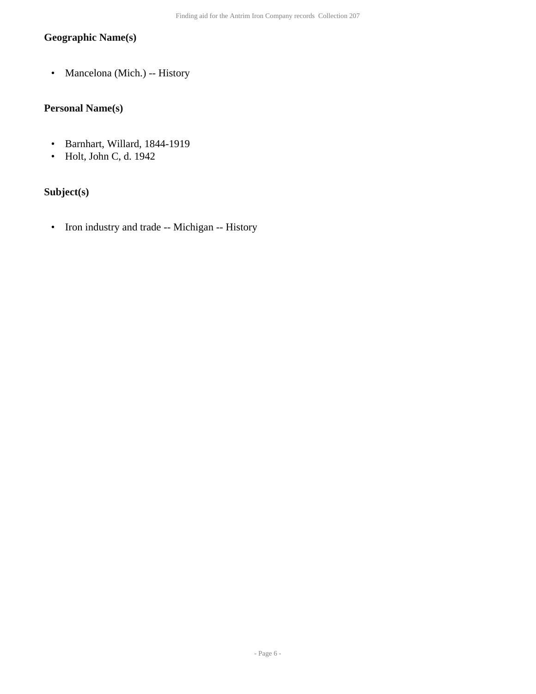### **Geographic Name(s)**

• Mancelona (Mich.) -- History

### **Personal Name(s)**

- Barnhart, Willard, 1844-1919
- Holt, John C, d. 1942

### **Subject(s)**

• Iron industry and trade -- Michigan -- History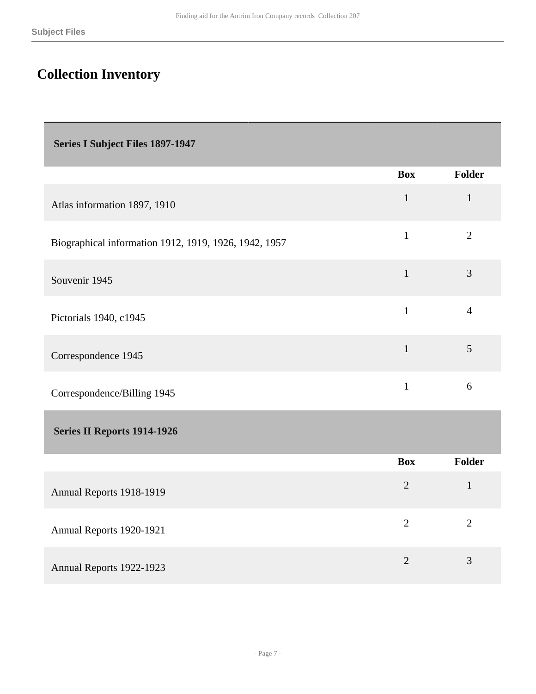## <span id="page-6-0"></span>**Collection Inventory**

<span id="page-6-1"></span>

| <b>Series I Subject Files 1897-1947</b>               |                |                |
|-------------------------------------------------------|----------------|----------------|
|                                                       | <b>Box</b>     | Folder         |
| Atlas information 1897, 1910                          | $\mathbf{1}$   | $\mathbf{1}$   |
| Biographical information 1912, 1919, 1926, 1942, 1957 | $\mathbf{1}$   | $\overline{2}$ |
| Souvenir 1945                                         | $\mathbf{1}$   | 3              |
| Pictorials 1940, c1945                                | $\mathbf{1}$   | $\overline{4}$ |
| Correspondence 1945                                   | $\mathbf{1}$   | 5              |
| Correspondence/Billing 1945                           | $\mathbf{1}$   | 6              |
| Series II Reports 1914-1926                           |                |                |
|                                                       | <b>Box</b>     | Folder         |
| Annual Reports 1918-1919                              | $\overline{2}$ | $\mathbf{1}$   |

Annual Reports 1922-1923 2 3

<span id="page-6-2"></span>Annual Reports 1920-1921 <sup>2</sup> <sup>2</sup>